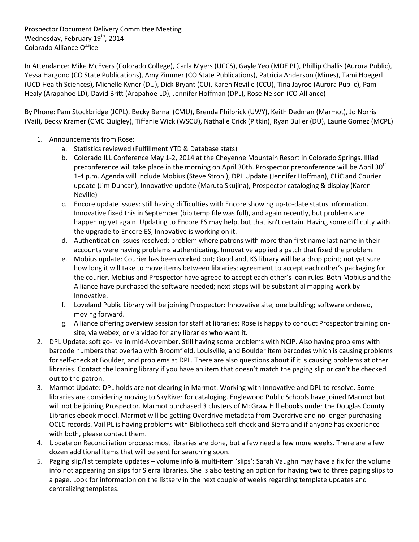Prospector Document Delivery Committee Meeting Wednesday, February 19<sup>th</sup>, 2014 Colorado Alliance Office

In Attendance: Mike McEvers (Colorado College), Carla Myers (UCCS), Gayle Yeo (MDE PL), Phillip Challis (Aurora Public), Yessa Hargono (CO State Publications), Amy Zimmer (CO State Publications), Patricia Anderson (Mines), Tami Hoegerl (UCD Health Sciences), Michelle Kyner (DU), Dick Bryant (CU), Karen Neville (CCU), Tina Jayroe (Aurora Public), Pam Healy (Arapahoe LD), David Britt (Arapahoe LD), Jennifer Hoffman (DPL), Rose Nelson (CO Alliance)

By Phone: Pam Stockbridge (JCPL), Becky Bernal (CMU), Brenda Philbrick (UWY), Keith Dedman (Marmot), Jo Norris (Vail), Becky Kramer (CMC Quigley), Tiffanie Wick (WSCU), Nathalie Crick (Pitkin), Ryan Buller (DU), Laurie Gomez (MCPL)

- 1. Announcements from Rose:
	- a. Statistics reviewed (Fulfillment YTD & Database stats)
	- b. Colorado ILL Conference May 1-2, 2014 at the Cheyenne Mountain Resort in Colorado Springs. Illiad preconference will take place in the morning on April 30th. Prospector preconference will be April 30<sup>th</sup> 1-4 p.m. Agenda will include Mobius (Steve Strohl), DPL Update (Jennifer Hoffman), CLiC and Courier update (Jim Duncan), Innovative update (Maruta Skujina), Prospector cataloging & display (Karen Neville)
	- c. Encore update issues: still having difficulties with Encore showing up-to-date status information. Innovative fixed this in September (bib temp file was full), and again recently, but problems are happening yet again. Updating to Encore ES may help, but that isn't certain. Having some difficulty with the upgrade to Encore ES, Innovative is working on it.
	- d. Authentication issues resolved: problem where patrons with more than first name last name in their accounts were having problems authenticating. Innovative applied a patch that fixed the problem.
	- e. Mobius update: Courier has been worked out; Goodland, KS library will be a drop point; not yet sure how long it will take to move items between libraries; agreement to accept each other's packaging for the courier. Mobius and Prospector have agreed to accept each other's loan rules. Both Mobius and the Alliance have purchased the software needed; next steps will be substantial mapping work by Innovative.
	- f. Loveland Public Library will be joining Prospector: Innovative site, one building; software ordered, moving forward.
	- g. Alliance offering overview session for staff at libraries: Rose is happy to conduct Prospector training onsite, via webex, or via video for any libraries who want it.
- 2. DPL Update: soft go-live in mid-November. Still having some problems with NCIP. Also having problems with barcode numbers that overlap with Broomfield, Louisville, and Boulder item barcodes which is causing problems for self-check at Boulder, and problems at DPL. There are also questions about if it is causing problems at other libraries. Contact the loaning library if you have an item that doesn't match the paging slip or can't be checked out to the patron.
- 3. Marmot Update: DPL holds are not clearing in Marmot. Working with Innovative and DPL to resolve. Some libraries are considering moving to SkyRiver for cataloging. Englewood Public Schools have joined Marmot but will not be joining Prospector. Marmot purchased 3 clusters of McGraw Hill ebooks under the Douglas County Libraries ebook model. Marmot will be getting Overdrive metadata from Overdrive and no longer purchasing OCLC records. Vail PL is having problems with Bibliotheca self-check and Sierra and if anyone has experience with both, please contact them.
- 4. Update on Reconciliation process: most libraries are done, but a few need a few more weeks. There are a few dozen additional items that will be sent for searching soon.
- 5. Paging slip/list template updates volume info & multi-item 'slips': Sarah Vaughn may have a fix for the volume info not appearing on slips for Sierra libraries. She is also testing an option for having two to three paging slips to a page. Look for information on the listserv in the next couple of weeks regarding template updates and centralizing templates.